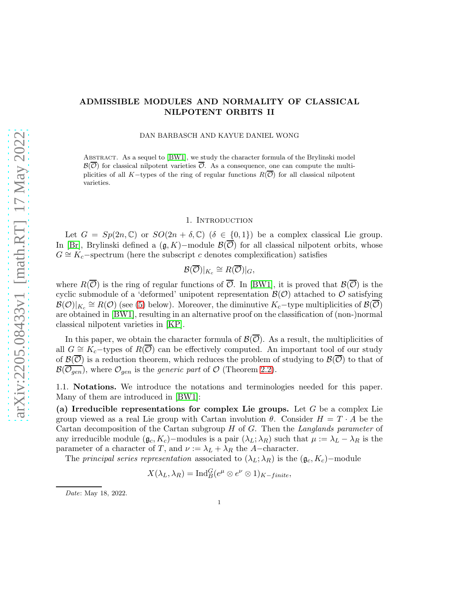## ADMISSIBLE MODULES AND NORMALITY OF CLASSICAL NILPOTENT ORBITS II

DAN BARBASCH AND KAYUE DANIEL WONG

Abstract. As a sequel to [\[BW1\]](#page-15-0), we study the character formula of the Brylinski model  $\mathcal{B}(\overline{\mathcal{O}})$  for classical nilpotent varieties  $\overline{\mathcal{O}}$ . As a consequence, one can compute the multiplicities of all K−types of the ring of regular functions  $R(\overline{\mathcal{O}})$  for all classical nilpotent varieties.

### 1. INTRODUCTION

Let  $G = Sp(2n, \mathbb{C})$  or  $SO(2n + \delta, \mathbb{C})$  ( $\delta \in \{0, 1\}$ ) be a complex classical Lie group. In [\[Br\]](#page-15-1), Brylinski defined a  $(\mathfrak{g}, K)$ −module  $\mathcal{B}(\overline{\mathcal{O}})$  for all classical nilpotent orbits, whose  $G \cong K_c$ -spectrum (here the subscript c denotes complexification) satisfies

$$
\mathcal{B}(\overline{\mathcal{O}})|_{K_c} \cong R(\overline{\mathcal{O}})|_G,
$$

where  $R(\overline{\mathcal{O}})$  is the ring of regular functions of  $\overline{\mathcal{O}}$ . In [\[BW1\]](#page-15-0), it is proved that  $\mathcal{B}(\overline{\mathcal{O}})$  is the cyclic submodule of a 'deformed' unipotent representation  $\mathcal{B}(\mathcal{O})$  attached to  $\mathcal O$  satisfying  $B(\mathcal{O})|_{K_c} \cong R(\mathcal{O})$  (see [\(5\)](#page-2-0) below). Moreover, the diminutive  $K_c$ -type multiplicities of  $B(\overline{\mathcal{O}})$ are obtained in [\[BW1\]](#page-15-0), resulting in an alternative proof on the classification of (non-)normal classical nilpotent varieties in [\[KP\]](#page-15-2).

In this paper, we obtain the character formula of  $\mathcal{B}(\overline{\mathcal{O}})$ . As a result, the multiplicities of all  $G \cong K_c$ -types of  $R(\overline{\mathcal{O}})$  can be effectively computed. An important tool of our study of  $\mathcal{B}(\overline{\mathcal{O}})$  is a reduction theorem, which reduces the problem of studying to  $\mathcal{B}(\overline{\mathcal{O}})$  to that of  $\mathcal{B}(\overline{\mathcal{O}_{gen}})$ , where  $\mathcal{O}_{gen}$  is the *generic part* of  $\mathcal{O}$  (Theorem [2.2\)](#page-3-0).

1.1. Notations. We introduce the notations and terminologies needed for this paper. Many of them are introduced in [\[BW1\]](#page-15-0):

(a) Irreducible representations for complex Lie groups. Let  $G$  be a complex Lie group viewed as a real Lie group with Cartan involution  $\theta$ . Consider  $H = T \cdot A$  be the Cartan decomposition of the Cartan subgroup  $H$  of  $G$ . Then the Langlands parameter of any irreducible module  $(\mathfrak{g}_c, K_c)$ –modules is a pair  $(\lambda_L; \lambda_R)$  such that  $\mu := \lambda_L - \lambda_R$  is the parameter of a character of T, and  $\nu := \lambda_L + \lambda_R$  the A-character.

The principal series representation associated to  $(\lambda_L; \lambda_R)$  is the  $(g_c, K_c)$ –module

$$
X(\lambda_L, \lambda_R) = \operatorname{Ind}_{B}^{G}(e^{\mu} \otimes e^{\nu} \otimes 1)_{K-finite},
$$

Date: May 18, 2022.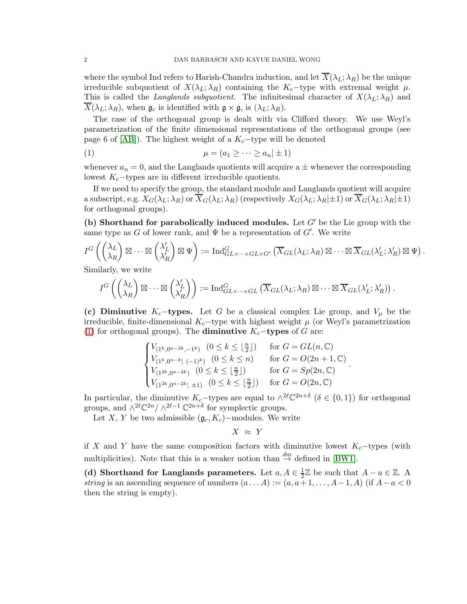where the symbol Ind refers to Harish-Chandra induction, and let  $\overline{X}(\lambda_L; \lambda_R)$  be the unique irreducible subquotient of  $X(\lambda_L; \lambda_R)$  containing the K<sub>c</sub>−type with extremal weight  $\mu$ . This is called the Langlands subquotient. The infinitesimal character of  $X(\lambda_L; \lambda_R)$  and  $X(\lambda_L; \lambda_R)$ , when  $\mathfrak{g}_c$  is identified with  $\mathfrak{g} \times \mathfrak{g}$ , is  $(\lambda_L; \lambda_R)$ .

The case of the orthogonal group is dealt with via Clifford theory. We use Weyl's parametrization of the finite dimensional representations of the orthogonal groups (see page 6 of [\[AB\]](#page-14-0)). The highest weight of a  $K_c$ -type will be denoted

<span id="page-1-0"></span>
$$
\mu = (a_1 \geq \cdots \geq a_n | \pm 1)
$$

whenever  $a_n = 0$ , and the Langlands quotients will acquire a  $\pm$  whenever the corresponding lowest  $K_c$ -types are in different irreducible quotients.

If we need to specify the group, the standard module and Langlands quotient will acquire a subscript, e.g.  $X_G(\lambda_L; \lambda_R)$  or  $\overline{X}_G(\lambda_L; \lambda_R)$  (respectively  $X_G(\lambda_L; \lambda_R) \pm 1$ ) or  $\overline{X}_G(\lambda_L; \lambda_R) \pm 1$ ) for orthogonal groups).

(b) Shorthand for parabolically induced modules. Let  $G'$  be the Lie group with the same type as G of lower rank, and  $\Psi$  be a representation of G'. We write

$$
I^G\left(\begin{pmatrix} \lambda_L \\ \lambda_R \end{pmatrix} \boxtimes \cdots \boxtimes \begin{pmatrix} \lambda'_L \\ \lambda'_R \end{pmatrix} \boxtimes \Psi\right) := \mathrm{Ind}_{GL \times \cdots \times GL \times G'}^G\left(\overline{X}_{GL}(\lambda_L; \lambda_R) \boxtimes \cdots \boxtimes \overline{X}_{GL}(\lambda'_L; \lambda'_R) \boxtimes \Psi\right).
$$

Similarly, we write

$$
I^G\left(\begin{pmatrix} \lambda_L \\ \lambda_R \end{pmatrix} \boxtimes \cdots \boxtimes \begin{pmatrix} \lambda'_L \\ \lambda'_R \end{pmatrix}\right) := \mathrm{Ind}_{GL \times \cdots \times GL}^G\left(\overline{X}_{GL}(\lambda_L; \lambda_R) \boxtimes \cdots \boxtimes \overline{X}_{GL}(\lambda'_L; \lambda'_R)\right).
$$

(c) Diminutive K<sub>c</sub>−types. Let G be a classical complex Lie group, and  $V_\mu$  be the irreducible, finite-dimensional  $K_c$ -type with highest weight  $\mu$  (or Weyl's parametrization [\(1\)](#page-1-0) for orthogonal groups). The **diminutive**  $K_c$ -types of G are:

$$
\begin{cases} V_{(1^k,0^{n-2k},-1^k)} & (0 \leq k \leq \lfloor \frac{n}{2} \rfloor) & \text{ for } G = GL(n,\mathbb{C}) \\ V_{(1^k,0^{n-k}|\ (-1)^k)} & (0 \leq k \leq n) & \text{ for } G = O(2n+1,\mathbb{C}) \\ V_{(1^{2k},0^{n-2k})} & (0 \leq k \leq \lfloor \frac{n}{2} \rfloor) & \text{ for } G = Sp(2n,\mathbb{C}) \\ V_{(1^{2k},0^{n-2k}|\ \pm 1)} & (0 \leq k \leq \lfloor \frac{n}{2} \rfloor) & \text{ for } G = O(2n,\mathbb{C}) \end{cases}
$$

.

In particular, the diminutive  $K_c$ -types are equal to  $\wedge^{2\ell} \mathbb{C}^{2n+\delta}$   $(\delta \in \{0,1\})$  for orthogonal groups, and  $\wedge^{2\ell} \mathbb{C}^{2n} / \wedge^{2\ell-1} \mathbb{C}^{2n+\delta}$  for symplectic groups.

Let X, Y be two admissible  $(\mathfrak{g}_c, K_c)$ –modules. We write

$$
X \approx Y
$$

if X and Y have the same composition factors with diminutive lowest  $K_c$ -types (with multiplicities). Note that this is a weaker notion than  $\stackrel{dm}{\rightarrow}$  defined in [\[BW1\]](#page-15-0).

(d) Shorthand for Langlands parameters. Let  $a, A \in \frac{1}{2}$  $\frac{1}{2}\mathbb{Z}$  be such that  $A - a \in \mathbb{Z}$ . A string is an ascending sequence of numbers  $(a \dots A) := (a, a+1, \dots, A-1, A)$  (if  $A-a < 0$ ) then the string is empty).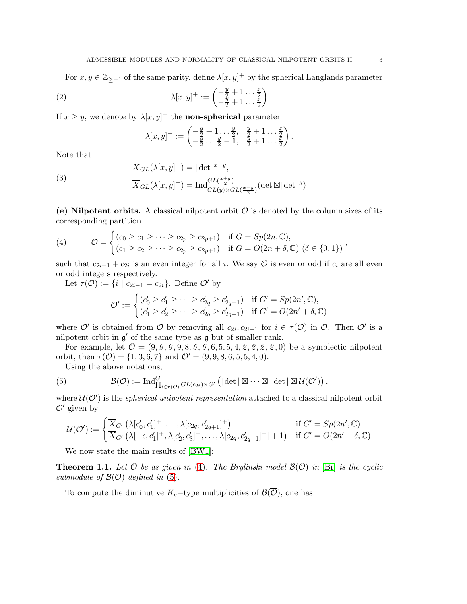For  $x, y \in \mathbb{Z}_{\geq -1}$  of the same parity, define  $\lambda[x, y]^+$  by the spherical Langlands parameter

(2) 
$$
\lambda[x,y]^+ := \begin{pmatrix} -\frac{y}{2} + 1 & \cdots & \frac{x}{2} \\ -\frac{y}{2} + 1 & \cdots & \frac{x}{2} \end{pmatrix}
$$

If  $x \geq y$ , we denote by  $\lambda[x, y]$ <sup>-</sup> the **non-spherical** parameter

<span id="page-2-4"></span><span id="page-2-3"></span>
$$
\lambda[x,y]^- := \begin{pmatrix} -\frac{y}{2} + 1 & \dots & \frac{y}{2} & \frac{y}{2} + 1 & \dots & \frac{x}{2} \\ -\frac{y}{2} & \dots & \frac{y}{2} - 1 & \frac{y}{2} + 1 & \dots & \frac{x}{2} \end{pmatrix}.
$$

Note that

(3)  
\n
$$
\overline{X}_{GL}(\lambda[x,y]^+) = |\det|^{x-y},
$$
\n
$$
\overline{X}_{GL}(\lambda[x,y]^-) = \operatorname{Ind}_{GL(y)\times GL(\frac{x-y}{2})}^{GL(\frac{x+y}{2})} (\det \boxtimes |\det|^y)
$$

(e) Nilpotent orbits. A classical nilpotent orbit  $\mathcal O$  is denoted by the column sizes of its corresponding partition

<span id="page-2-1"></span>(4) 
$$
\mathcal{O} = \begin{cases} (c_0 \geq c_1 \geq \cdots \geq c_{2p} \geq c_{2p+1}) & \text{if } G = Sp(2n, \mathbb{C}), \\ (c_1 \geq c_2 \geq \cdots \geq c_{2p} \geq c_{2p+1}) & \text{if } G = O(2n + \delta, \mathbb{C}) \ (\delta \in \{0, 1\}) \end{cases},
$$

such that  $c_{2i-1} + c_{2i}$  is an even integer for all i. We say  $\mathcal O$  is even or odd if  $c_i$  are all even or odd integers respectively.

Let  $\tau(\mathcal{O}) := \{i \mid c_{2i-1} = c_{2i}\}.$  Define  $\mathcal{O}'$  by

$$
\mathcal{O}' := \begin{cases} (c'_0 \geq c'_1 \geq \cdots \geq c'_{2q} \geq c'_{2q+1}) & \text{if } G' = Sp(2n', \mathbb{C}), \\ (c'_1 \geq c'_2 \geq \cdots \geq c'_{2q} \geq c'_{2q+1}) & \text{if } G' = O(2n' + \delta, \mathbb{C}) \end{cases}
$$

where  $\mathcal{O}'$  is obtained from  $\mathcal O$  by removing all  $c_{2i}, c_{2i+1}$  for  $i \in \tau(\mathcal{O})$  in  $\mathcal O$ . Then  $\mathcal O'$  is a nilpotent orbit in  $g'$  of the same type as  $g$  but of smaller rank.

For example, let  $O = (9, 9, 9, 9, 8, 6, 6, 6, 5, 5, 4, 2, 2, 2, 2, 0)$  be a symplectic nilpotent orbit, then  $\tau(\mathcal{O}) = \{1, 3, 6, 7\}$  and  $\mathcal{O}' = (9, 9, 8, 6, 5, 5, 4, 0)$ .

<span id="page-2-0"></span>Using the above notations,

(5) 
$$
\mathcal{B}(\mathcal{O}) := \mathrm{Ind}^G_{\prod_{i \in \tau(\mathcal{O})} GL(c_{2i}) \times G'} \left( \left| \det \right| \boxtimes \cdots \boxtimes \left| \det \right| \boxtimes \mathcal{U}(\mathcal{O}') \right),
$$

where  $\mathcal{U}(\mathcal{O}')$  is the *spherical unipotent representation* attached to a classical nilpotent orbit  $\mathcal{O}'$  given by

$$
\mathcal{U}(\mathcal{O}') := \begin{cases} \overline{X}_{G'} \left( \lambda[c'_0, c'_1]^+, \dots, \lambda[c_{2q}, c'_{2q+1}]^+ \right) & \text{if } G' = Sp(2n', \mathbb{C})\\ \overline{X}_{G'} \left( \lambda[-\epsilon, c'_1]^+, \lambda[c'_2, c'_3]^+, \dots, \lambda[c_{2q}, c'_{2q+1}]^+| + 1 \right) & \text{if } G' = O(2n' + \delta, \mathbb{C}) \end{cases}
$$

We now state the main results of [\[BW1\]](#page-15-0):

<span id="page-2-2"></span>**Theorem 1.1.** Let  $\mathcal O$  be as given in [\(4\)](#page-2-1). The Brylinski model  $\mathcal B(\overline{\mathcal O})$  in [\[Br\]](#page-15-1) is the cyclic submodule of  $\mathcal{B}(\mathcal{O})$  defined in [\(5\)](#page-2-0).

To compute the diminutive  $K_c$ -type multiplicities of  $\mathcal{B}(\overline{\mathcal{O}})$ , one has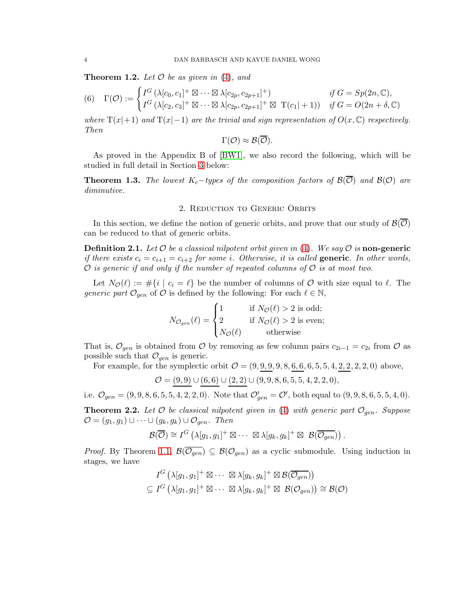<span id="page-3-1"></span>**Theorem 1.2.** Let  $\mathcal O$  be as given in [\(4\)](#page-2-1), and

$$
(6) \quad \Gamma(\mathcal{O}) := \begin{cases} I^G \left( \lambda[c_0, c_1]^+ \boxtimes \cdots \boxtimes \lambda[c_{2p}, c_{2p+1}]^+ \right) & \text{if } G = Sp(2n, \mathbb{C}), \\ I^G \left( \lambda[c_2, c_3]^+ \boxtimes \cdots \boxtimes \lambda[c_{2p}, c_{2p+1}]^+ \boxtimes \mathcal{T}(c_1|+1) \right) & \text{if } G = O(2n + \delta, \mathbb{C}) \end{cases}
$$

where  $T(x|+1)$  and  $T(x|-1)$  are the trivial and sign representation of  $O(x,\mathbb{C})$  respectively. Then

$$
\Gamma(\mathcal{O}) \approx \mathcal{B}(\overline{\mathcal{O}}).
$$

As proved in the Appendix B of [\[BW1\]](#page-15-0), we also record the following, which will be studied in full detail in Section [3](#page-4-0) below:

<span id="page-3-2"></span>**Theorem 1.3.** The lowest K<sub>c</sub>−types of the composition factors of  $\mathcal{B}(\overline{\mathcal{O}})$  and  $\mathcal{B}(\mathcal{O})$  are diminutive.

## 2. Reduction to Generic Orbits

In this section, we define the notion of generic orbits, and prove that our study of  $\mathcal{B}(\overline{\mathcal{O}})$ can be reduced to that of generic orbits.

**Definition 2.1.** Let  $\mathcal O$  be a classical nilpotent orbit given in [\(4\)](#page-2-1). We say  $\mathcal O$  is **non-generic** if there exists  $c_i = c_{i+1} = c_{i+2}$  for some i. Otherwise, it is called **generic**. In other words,  $\mathcal O$  is generic if and only if the number of repeated columns of  $\mathcal O$  is at most two.

Let  $N_{\mathcal{O}}(\ell) := \#\{i \mid c_i = \ell\}$  be the number of columns of  $\mathcal{O}$  with size equal to  $\ell$ . The generic part  $\mathcal{O}_{gen}$  of  $\mathcal O$  is defined by the following: For each  $\ell \in \mathbb N$ ,

$$
N_{\mathcal{O}_{gen}}(\ell) = \begin{cases} 1 & \text{if } N_{\mathcal{O}}(\ell) > 2 \text{ is odd}; \\ 2 & \text{if } N_{\mathcal{O}}(\ell) > 2 \text{ is even}; \\ N_{\mathcal{O}}(\ell) & \text{otherwise} \end{cases}
$$

That is,  $\mathcal{O}_{gen}$  is obtained from  $\mathcal O$  by removing as few column pairs  $c_{2i-1} = c_{2i}$  from  $\mathcal O$  as possible such that  $\mathcal{O}_{gen}$  is generic.

For example, for the symplectic orbit  $O = (9, 9, 9, 9, 8, 6, 6, 6, 5, 5, 4, 2, 2, 2, 2, 0)$  above,

$$
\mathcal{O} = \underline{(9,9)} \cup \underline{(6,6)} \cup \underline{(2,2)} \cup (9,9,8,6,5,5,4,2,2,0),
$$

i.e.  $\mathcal{O}_{gen} = (9, 9, 8, 6, 5, 5, 4, 2, 2, 0)$ . Note that  $\mathcal{O}'_{gen} = \mathcal{O}'$ , both equal to  $(9, 9, 8, 6, 5, 5, 4, 0)$ .

<span id="page-3-0"></span>**Theorem 2.2.** Let  $\mathcal O$  be classical nilpotent given in [\(4\)](#page-2-1) with generic part  $\mathcal O_{gen}$ . Suppose  $\mathcal{O} = (g_1, g_1) \cup \cdots \cup (g_k, g_k) \cup \mathcal{O}_{gen}.$  Then

$$
\mathcal{B}(\overline{\mathcal{O}}) \cong I^G \left( \lambda[g_1, g_1]^+ \boxtimes \cdots \boxtimes \lambda[g_k, g_k]^+ \boxtimes \mathcal{B}(\overline{\mathcal{O}_{gen}}) \right).
$$

*Proof.* By Theorem [1.1,](#page-2-2)  $\mathcal{B}(\overline{\mathcal{O}_{gen}}) \subseteq \mathcal{B}(\mathcal{O}_{gen})$  as a cyclic submodule. Using induction in stages, we have

$$
I^G \left( \lambda[g_1, g_1]^+ \boxtimes \cdots \boxtimes \lambda[g_k, g_k]^+ \boxtimes \mathcal{B}(\overline{\mathcal{O}_{gen}}) \right) \subseteq I^G \left( \lambda[g_1, g_1]^+ \boxtimes \cdots \boxtimes \lambda[g_k, g_k]^+ \boxtimes \mathcal{B}(\mathcal{O}_{gen}) \right) \cong \mathcal{B}(\mathcal{O})
$$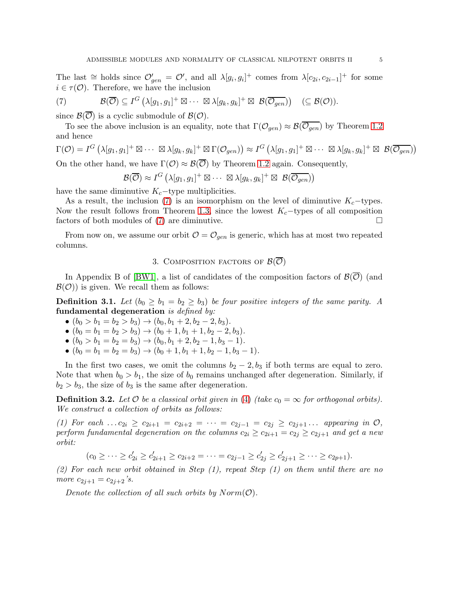The last  $\cong$  holds since  $\mathcal{O}'_{gen} = \mathcal{O}'$ , and all  $\lambda[g_i, g_i]^+$  comes from  $\lambda[c_{2i}, c_{2i-1}]^+$  for some  $i \in \tau(\mathcal{O})$ . Therefore, we have the inclusion

<span id="page-4-1"></span>(7) 
$$
\mathcal{B}(\overline{\mathcal{O}}) \subseteq I^G \left( \lambda[g_1, g_1]^+ \boxtimes \cdots \boxtimes \lambda[g_k, g_k]^+ \boxtimes \mathcal{B}(\overline{\mathcal{O}_{gen}}) \right) \quad (\subseteq \mathcal{B}(\mathcal{O})).
$$

since  $\mathcal{B}(\mathcal{O})$  is a cyclic submodule of  $\mathcal{B}(\mathcal{O})$ .

To see the above inclusion is an equality, note that  $\Gamma(\mathcal{O}_{gen}) \approx \mathcal{B}(\overline{\mathcal{O}_{gen}})$  by Theorem [1.2](#page-3-1) and hence

$$
\Gamma(\mathcal{O}) = I^G \left( \lambda[g_1, g_1]^+ \boxtimes \cdots \boxtimes \lambda[g_k, g_k]^+ \boxtimes \Gamma(\mathcal{O}_{gen}) \right) \approx I^G \left( \lambda[g_1, g_1]^+ \boxtimes \cdots \boxtimes \lambda[g_k, g_k]^+ \boxtimes \mathcal{B}(\overline{\mathcal{O}_{gen}}) \right)
$$
\nOn the other hand, we have  $\Gamma(\mathcal{O}) \approx \mathcal{B}(\overline{\mathcal{O}})$  by Theorem 1.2 again. Consequently,

On the other hand, we have  $\Gamma(\mathcal{O}) \approx \mathcal{B}(\mathcal{O})$  by Theorem [1.2](#page-3-1) again. Consequently,

 $\mathcal{B}(\overline{\mathcal{O}}) \approx I^G \left( \lambda[g_1, g_1]^+ \boxtimes \cdots \boxtimes \lambda[g_k, g_k]^+ \boxtimes \mathcal{B}(\overline{\mathcal{O}_{gen}}) \right)$ 

have the same diminutive  $K_c$ −type multiplicities.

As a result, the inclusion [\(7\)](#page-4-1) is an isomorphism on the level of diminutive  $K_c$ -types. Now the result follows from Theorem [1.3,](#page-3-2) since the lowest  $K_c$ -types of all composition factors of both modules of [\(7\)](#page-4-1) are diminutive.

<span id="page-4-0"></span>From now on, we assume our orbit  $\mathcal{O} = \mathcal{O}_{gen}$  is generic, which has at most two repeated columns.

## 3. COMPOSITION FACTORS OF  $\mathcal{B}(\overline{\mathcal{O}})$

In Appendix B of [\[BW1\]](#page-15-0), a list of candidates of the composition factors of  $\mathcal{B}(\overline{\mathcal{O}})$  (and  $\mathcal{B}(\mathcal{O})$  is given. We recall them as follows:

<span id="page-4-2"></span>**Definition 3.1.** Let  $(b_0 \geq b_1 = b_2 \geq b_3)$  be four positive integers of the same parity. A fundamental degeneration is defined by:

- $(b_0 > b_1 = b_2 > b_3) \rightarrow (b_0, b_1 + 2, b_2 2, b_3).$
- $(b_0 = b_1 = b_2 > b_3) \rightarrow (b_0 + 1, b_1 + 1, b_2 2, b_3).$
- $(b_0 > b_1 = b_2 = b_3) \rightarrow (b_0, b_1 + 2, b_2 1, b_3 1).$
- $(b_0 = b_1 = b_2 = b_3) \rightarrow (b_0 + 1, b_1 + 1, b_2 1, b_3 1).$

In the first two cases, we omit the columns  $b_2 - 2$ ,  $b_3$  if both terms are equal to zero. Note that when  $b_0 > b_1$ , the size of  $b_0$  remains unchanged after degeneration. Similarly, if  $b_2 > b_3$ , the size of  $b_3$  is the same after degeneration.

**Definition 3.2.** Let  $\mathcal O$  be a classical orbit given in [\(4\)](#page-2-1) (take  $c_0 = \infty$  for orthogonal orbits). We construct a collection of orbits as follows:

(1) For each ...  $c_{2i} \ge c_{2i+1} = c_{2i+2} = \cdots = c_{2j-1} = c_{2j} \ge c_{2j+1} \ldots$  appearing in  $\mathcal{O},$ perform fundamental degeneration on the columns  $c_{2i} \ge c_{2i+1} = c_{2j} \ge c_{2j+1}$  and get a new orbit:

 $(c_0 \geq \cdots \geq c'_{2i} \geq c'_{2i+1} \geq c_{2i+2} = \cdots = c_{2j-1} \geq c'_{2j} \geq c'_{2j+1} \geq \cdots \geq c_{2p+1}).$ 

(2) For each new orbit obtained in Step  $(1)$ , repeat Step  $(1)$  on them until there are no more  $c_{2i+1} = c_{2i+2}$ 's.

Denote the collection of all such orbits by  $Norm(\mathcal{O})$ .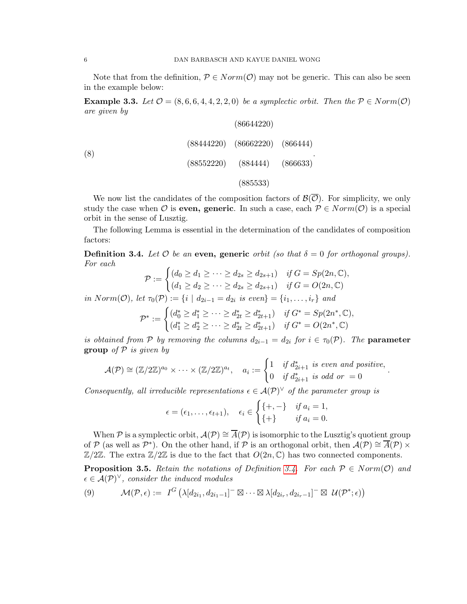Note that from the definition,  $P \in Norm(\mathcal{O})$  may not be generic. This can also be seen in the example below:

**Example 3.3.** Let  $\mathcal{O} = (8, 6, 6, 4, 4, 2, 2, 0)$  be a symplectic orbit. Then the  $\mathcal{P} \in Norm(\mathcal{O})$ are given by

|     | (86644220)                           |  |
|-----|--------------------------------------|--|
| (8) | $(88444220)$ $(86662220)$ $(866444)$ |  |
|     | $(88552220)$ $(884444)$              |  |
|     | (885533)                             |  |

We now list the candidates of the composition factors of  $\mathcal{B}(\overline{\mathcal{O}})$ . For simplicity, we only study the case when O is **even, generic**. In such a case, each  $P \in Norm(\mathcal{O})$  is a special orbit in the sense of Lusztig.

The following Lemma is essential in the determination of the candidates of composition factors:

<span id="page-5-0"></span>**Definition 3.4.** Let  $\mathcal O$  be an even, generic orbit (so that  $\delta = 0$  for orthogonal groups). For each

$$
\mathcal{P} := \begin{cases} (d_0 \geq d_1 \geq \cdots \geq d_{2s} \geq d_{2s+1}) & \text{if } G = Sp(2n, \mathbb{C}), \\ (d_1 \geq d_2 \geq \cdots \geq d_{2s} \geq d_{2s+1}) & \text{if } G = O(2n, \mathbb{C}) \end{cases}
$$

in  $Norm(\mathcal{O})$ , let  $\tau_0(\mathcal{P}) := \{i \mid d_{2i-1} = d_{2i} \text{ is even}\} = \{i_1, \ldots, i_r\}$  and

$$
\mathcal{P}^* := \begin{cases} (d_0^* \ge d_1^* \ge \dots \ge d_{2t}^* \ge d_{2t+1}^*) & \text{if } G^* = Sp(2n^*, \mathbb{C}), \\ (d_1^* \ge d_2^* \ge \dots \ge d_{2t}^* \ge d_{2t+1}^*) & \text{if } G^* = O(2n^*, \mathbb{C}) \end{cases}
$$

is obtained from P by removing the columns  $d_{2i-1} = d_{2i}$  for  $i \in \tau_0(\mathcal{P})$ . The **parameter group** of  $P$  is given by

$$
\mathcal{A}(\mathcal{P}) \cong (\mathbb{Z}/2\mathbb{Z})^{a_0} \times \cdots \times (\mathbb{Z}/2\mathbb{Z})^{a_t}, \quad a_i := \begin{cases} 1 & \text{if } d^*_{2i+1} \text{ is even and positive,} \\ 0 & \text{if } d^*_{2i+1} \text{ is odd or } = 0 \end{cases}
$$

.

Consequently, all irreducible representations  $\epsilon \in A(\mathcal{P})^{\vee}$  of the parameter group is

$$
\epsilon = (\epsilon_1, \ldots, \epsilon_{t+1}), \quad \epsilon_i \in \begin{cases} \{+, -\} & \text{if } a_i = 1, \\ \{+ \} & \text{if } a_i = 0. \end{cases}
$$

When P is a symplectic orbit,  $\mathcal{A}(\mathcal{P}) \cong \overline{\mathcal{A}}(\mathcal{P})$  is isomorphic to the Lusztig's quotient group of P (as well as P<sup>\*</sup>). On the other hand, if P is an orthogonal orbit, then  $\mathcal{A}(\mathcal{P}) \cong \overline{\mathcal{A}}(\mathcal{P}) \times$  $\mathbb{Z}/2\mathbb{Z}$ . The extra  $\mathbb{Z}/2\mathbb{Z}$  is due to the fact that  $O(2n, \mathbb{C})$  has two connected components.

<span id="page-5-2"></span>**Proposition 3.5.** Retain the notations of Definition [3.4.](#page-5-0) For each  $P \in Norm(\mathcal{O})$  and  $\epsilon \in \mathcal{A}(\mathcal{P})^{\vee}$ , consider the induced modules

<span id="page-5-1"></span>
$$
(9) \qquad \mathcal{M}(\mathcal{P},\epsilon) := I^G \left( \lambda [d_{2i_1}, d_{2i_1-1}]^- \boxtimes \cdots \boxtimes \lambda [d_{2i_r}, d_{2i_r-1}]^- \boxtimes \mathcal{U}(\mathcal{P}^*; \epsilon) \right)
$$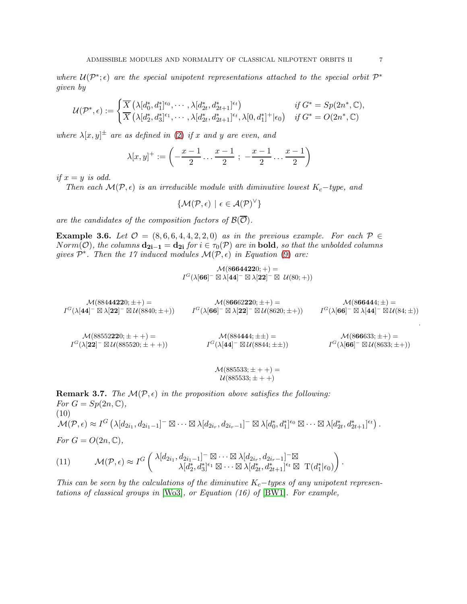where  $\mathcal{U}(\mathcal{P}^*; \epsilon)$  are the special unipotent representations attached to the special orbit  $\mathcal{P}^*$ given by

$$
\mathcal{U}(\mathcal{P}^*,\epsilon) := \begin{cases} \overline{X} \left( \lambda [d_0^*, d_1^*]^{\epsilon_0}, \cdots, \lambda [d_{2t}^*, d_{2t+1}^*]^{\epsilon_t} \right) & \text{if } G^* = Sp(2n^*, \mathbb{C}), \\ \overline{X} \left( \lambda [d_2^*, d_3^*]^{\epsilon_1}, \cdots, \lambda [d_{2t}^*, d_{2t+1}^*]^{\epsilon_t}, \lambda [0, d_1^*]^+ | \epsilon_0 \right) & \text{if } G^* = O(2n^*, \mathbb{C}) \end{cases}
$$

where  $\lambda[x, y]^{\pm}$  are as defined in [\(2\)](#page-2-3) if x and y are even, and

$$
\lambda[x,y]^+ := \left(-\frac{x-1}{2} \ldots \frac{x-1}{2} \; ; \; -\frac{x-1}{2} \ldots \frac{x-1}{2}\right)
$$

if  $x = y$  is odd.

Then each  $\mathcal{M}(\mathcal{P}, \epsilon)$  is an irreducible module with diminutive lowest  $K_c$ -type, and

$$
\{\mathcal{M}(\mathcal{P},\epsilon) \,\,|\,\, \epsilon \in \mathcal{A}(\mathcal{P})^{\vee}\}
$$

are the candidates of the composition factors of  $\mathcal{B}(\overline{\mathcal{O}})$ .

Example 3.6. Let  $\mathcal{O} = (8, 6, 6, 4, 4, 2, 2, 0)$  as in the previous example. For each  $\mathcal{P} \in$ Norm(O), the columns  $\mathbf{d_{2i-1}} = \mathbf{d_{2i}}$  for  $i \in \tau_0(\mathcal{P})$  are in **bold**, so that the unbolded columns gives  $\mathcal{P}^*$ . Then the 17 induced modules  $\mathcal{M}(\mathcal{P}, \epsilon)$  in Equation [\(9\)](#page-5-1) are:

$$
\mathcal{M}(8\mathbf{644220}; +) = \\ I^G(\lambda[\mathbf{66}]^- \boxtimes \lambda[\mathbf{44}]^- \boxtimes \lambda[\mathbf{22}]^- \boxtimes \mathcal{U}(80; +))
$$

$$
\begin{array}{ccc} \mathcal{M}(88444\boldsymbol{1}\boldsymbol{2}20;\pm+)=&\mathcal{M}(86662\boldsymbol{2}20;\pm+)=&\mathcal{M}(866444;\pm)=\\ I^G(\lambda[\boldsymbol{4}\boldsymbol{4}]^- \boxtimes \lambda[\boldsymbol{2}\boldsymbol{2}]^- \boxtimes \mathcal{U}(8840;\pm+))& I^G(\lambda[\boldsymbol{6}\boldsymbol{6}]^- \boxtimes \lambda[\boldsymbol{2}\boldsymbol{2}]^- \boxtimes \mathcal{U}(8620;\pm+))& I^G(\lambda[\boldsymbol{6}\boldsymbol{6}]^- \boxtimes \lambda[\boldsymbol{4}\boldsymbol{4}]^- \boxtimes \mathcal{U}(84;\pm))\\ \end{array}
$$

 $\mathcal{M}(88552220; \pm + +) =$  $I^G(\lambda[22]^- \boxtimes \mathcal{U}(885520;\pm + +))$  $\mathcal{M}(884\mathbf{4}44;\pm\pm)=$  $I^G(\lambda[44]^- \boxtimes \mathcal{U}(8844;\pm\pm))$  $M(866633; \pm +) =$  $I^G(\lambda[66]^- \boxtimes \mathcal{U}(8633;\pm\mp))$ 

$$
\mathcal{M}(885533; \pm + +) = \mathcal{U}(885533; \pm + +)
$$

<span id="page-6-0"></span>**Remark 3.7.** The  $\mathcal{M}(\mathcal{P}, \epsilon)$  in the proposition above satisfies the following: For  $G = Sp(2n, \mathbb{C}),$ (10)  $\mathcal{M}(\mathcal{P},\epsilon) \approx I^G \left( \lambda [d_{2i_1}, d_{2i_1-1}]^- \boxtimes \cdots \boxtimes \lambda [d_{2i_r}, d_{2i_r-1}]^- \boxtimes \lambda [d_0^*, d_1^*]^{\epsilon_0} \boxtimes \cdots \boxtimes \lambda [d_{2t}^*, d_{2t+1}^*]^{\epsilon_t} \right).$ For  $G = O(2n, \mathbb{C}),$ 

(11) 
$$
\mathcal{M}(\mathcal{P}, \epsilon) \approx I^G \left( \begin{array}{c} \lambda [d_{2i_1}, d_{2i_1-1}]^{-\boxtimes} \cdots \boxtimes \lambda [d_{2i_r}, d_{2i_r-1}]^{-\boxtimes} \\ \lambda [d_2^*, d_3^*]^{\epsilon_1} \boxtimes \cdots \boxtimes \lambda [d_{2t}^*, d_{2t+1}^*]^{\epsilon_t} \boxtimes \mathrm{T}(d_1^*|\epsilon_0) \end{array} \right).
$$

This can be seen by the calculations of the diminutive  $K_c$ −types of any unipotent representations of classical groups in  $[W<sub>03</sub>]$ , or Equation (16) of  $[BW1]$ . For example,

.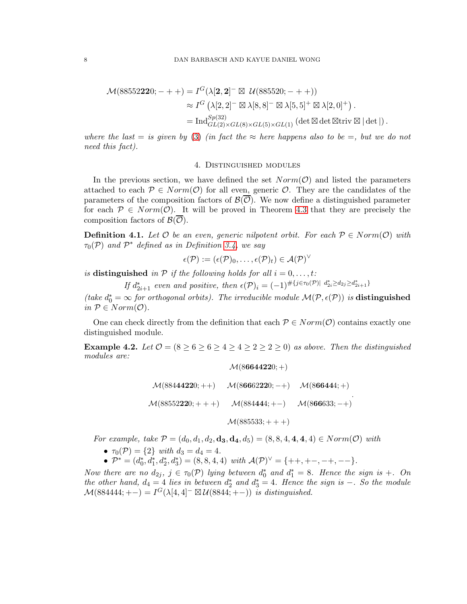$$
\mathcal{M}(88552220; - + +) = I^G(\lambda[2, 2]^- \boxtimes \mathcal{U}(885520; - + +))
$$
  
\n
$$
\approx I^G(\lambda[2, 2]^- \boxtimes \lambda[8, 8]^- \boxtimes \lambda[5, 5]^+ \boxtimes \lambda[2, 0]^+).
$$
  
\n
$$
= \text{Ind}_{GL(2)\times GL(8)\times GL(5)\times GL(1)}^{Sp(32)} (\det \boxtimes \det \boxtimes \text{triv} \boxtimes |\det|).
$$

where the last = is given by [\(3\)](#page-2-4) (in fact the  $\approx$  here happens also to be =, but we do not need this fact).

#### 4. Distinguished modules

In the previous section, we have defined the set  $Norm(\mathcal{O})$  and listed the parameters attached to each  $P \in Norm(\mathcal{O})$  for all even, generic  $\mathcal{O}$ . They are the candidates of the parameters of the composition factors of  $\mathcal{B}(\mathcal{O})$ . We now define a distinguished parameter for each  $P \in Norm(\mathcal{O})$ . It will be proved in Theorem [4.3](#page-8-0) that they are precisely the composition factors of  $\mathcal{B}(\mathcal{O})$ .

**Definition 4.1.** Let  $\mathcal O$  be an even, generic nilpotent orbit. For each  $\mathcal P \in Norm(\mathcal O)$  with  $\tau_0(\mathcal{P})$  and  $\mathcal{P}^*$  defined as in Definition [3.4,](#page-5-0) we say

$$
\epsilon(\mathcal{P}):=(\epsilon(\mathcal{P})_0,\ldots,\epsilon(\mathcal{P})_t)\in\mathcal{A}(\mathcal{P})^{\vee}
$$

is distinguished in  $P$  if the following holds for all  $i = 0, \ldots, t$ :

If  $d_{2i+1}^*$  even and positive, then  $\epsilon(\mathcal{P})_i = (-1)^{\# \{j \in \tau_0(\mathcal{P}) | d_{2i}^* \ge d_{2j} \ge d_{2i+1}^* \}}$ 

(take  $d_0^* = \infty$  for orthogonal orbits). The irreducible module  $\mathcal{M}(\mathcal{P}, \epsilon(\mathcal{P}))$  is **distinguished** in  $P \in Norm(\mathcal{O})$ .

One can check directly from the definition that each  $P \in Norm(\mathcal{O})$  contains exactly one distinguished module.

**Example 4.2.** Let  $\mathcal{O} = (8 \ge 6 \ge 6 \ge 4 \ge 4 \ge 2 \ge 2 \ge 0)$  as above. Then the distinguished modules are:

$$
\mathcal{M}(88444220;++) \quad \mathcal{M}(86662220; -+) \quad \mathcal{M}(866444; +)
$$
\n
$$
\mathcal{M}(88552220;++) \quad \mathcal{M}(884444;+-) \quad \mathcal{M}(866633; -+)
$$
\n
$$
\mathcal{M}(885533;++)
$$

 $\mathcal{M}(86644220;+)$ 

For example, take  $P = (d_0, d_1, d_2, d_3, d_4, d_5) = (8, 8, 4, 4, 4, 4) \in Norm(\mathcal{O})$  with

- $\tau_0(\mathcal{P}) = \{2\}$  with  $d_3 = d_4 = 4$ .
- $\mathcal{P}^* = (d_0^*, d_1^*, d_2^*, d_3^*) = (8, 8, 4, 4) \text{ with } \mathcal{A}(\mathcal{P})^{\vee} = \{++, +-, -+,--\}.$

Now there are no  $d_{2j}$ ,  $j \in \tau_0(\mathcal{P})$  lying between  $d_0^*$  and  $d_1^* = 8$ . Hence the sign is  $+$ . On the other hand,  $d_4 = 4$  lies in between  $d_2^*$  and  $d_3^* = 4$ . Hence the sign is  $-$ . So the module  $\mathcal{M}(884444; +-) = I^G(\lambda[4,4]^- \boxtimes \mathcal{U}(8844; +-))$  is distinguished.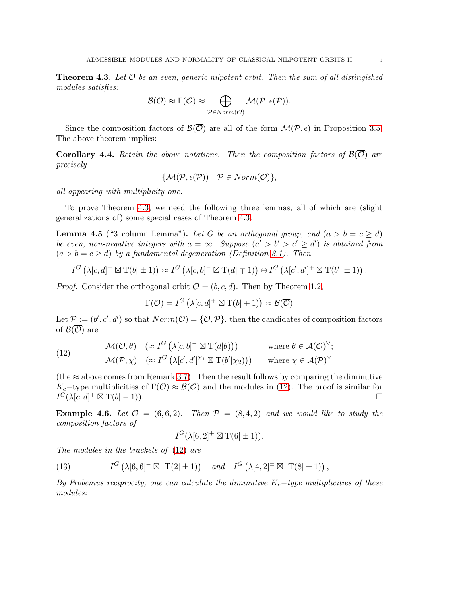<span id="page-8-0"></span>**Theorem 4.3.** Let  $\mathcal{O}$  be an even, generic nilpotent orbit. Then the sum of all distingished modules satisfies:

$$
\mathcal{B}(\overline{\mathcal{O}}) \approx \Gamma(\mathcal{O}) \approx \bigoplus_{\mathcal{P} \in Norm(\mathcal{O})} \mathcal{M}(\mathcal{P}, \epsilon(\mathcal{P})).
$$

Since the composition factors of  $\mathcal{B}(\overline{\mathcal{O}})$  are all of the form  $\mathcal{M}(\mathcal{P}, \epsilon)$  in Proposition [3.5.](#page-5-2) The above theorem implies:

**Corollary 4.4.** Retain the above notations. Then the composition factors of  $\mathcal{B}(\overline{\mathcal{O}})$  are precisely

$$
\{\mathcal{M}(\mathcal{P}, \epsilon(\mathcal{P})) \mid \mathcal{P} \in Norm(\mathcal{O})\},\
$$

all appearing with multiplicity one.

To prove Theorem [4.3,](#page-8-0) we need the following three lemmas, all of which are (slight generalizations of) some special cases of Theorem [4.3:](#page-8-0)

<span id="page-8-2"></span>**Lemma 4.5** ("3–column Lemma"). Let G be an orthogonal group, and  $(a > b = c \ge d)$ be even, non-negative integers with  $a = \infty$ . Suppose  $(a' > b' > c' \geq d')$  is obtained from  $(a > b = c \ge d)$  by a fundamental degeneration (Definition [3.1\)](#page-4-2). Then

$$
I^G\left(\lambda[c,d]^+\boxtimes \mathrm{T}(b]\pm 1)\right)\approx I^G\left(\lambda[c,b]^-\boxtimes \mathrm{T}(d]\mp 1)\right)\oplus I^G\left(\lambda[c',d']^+\boxtimes \mathrm{T}(b']\pm 1)\right).
$$

*Proof.* Consider the orthogonal orbit  $\mathcal{O} = (b, c, d)$ . Then by Theorem [1.2,](#page-3-1)

$$
\Gamma(\mathcal{O}) = I^G \left( \lambda[c, d]^+ \boxtimes T(b|+1) \right) \approx \mathcal{B}(\overline{\mathcal{O}})
$$

Let  $P := (b', c', d')$  so that  $Norm(\mathcal{O}) = \{O, P\}$ , then the candidates of composition factors of  $\mathcal{B}(\overline{\mathcal{O}})$  are

<span id="page-8-1"></span>(12) 
$$
\mathcal{M}(\mathcal{O}, \theta) \quad (\approx I^G \left( \lambda[c, b]^{-} \boxtimes \mathrm{T}(d|\theta) \right)) \qquad \text{where } \theta \in \mathcal{A}(\mathcal{O})^{\vee};
$$

$$
\mathcal{M}(\mathcal{P}, \chi) \quad (\approx I^G \left( \lambda[c', d']^{\chi_1} \boxtimes \mathrm{T}(b'|\chi_2) \right)) \qquad \text{where } \chi \in \mathcal{A}(\mathcal{P})^{\vee}
$$

(the  $\approx$  above comes from Remark [3.7\)](#page-6-0). Then the result follows by comparing the diminutive K<sub>c</sub>−type multiplicities of  $\Gamma(\mathcal{O}) \approx \mathcal{B}(\overline{\mathcal{O}})$  and the modules in [\(12\)](#page-8-1). The proof is similar for  $I^G(\lambda[c, d]^+ \boxtimes T(b|-1)).$ 

**Example 4.6.** Let  $\mathcal{O} = (6, 6, 2)$ . Then  $\mathcal{P} = (8, 4, 2)$  and we would like to study the composition factors of

$$
I^G(\lambda[6,2]^+ \boxtimes \mathrm{T}(6|\pm 1)).
$$

The modules in the brackets of [\(12\)](#page-8-1) are

(13) 
$$
I^G\left(\lambda[6,6]^{-} \boxtimes T(2|\pm 1)\right) \quad \text{and} \quad I^G\left(\lambda[4,2]^\pm \boxtimes T(8|\pm 1)\right),
$$

By Frobenius reciprocity, one can calculate the diminutive  $K_c$ -type multiplicities of these modules: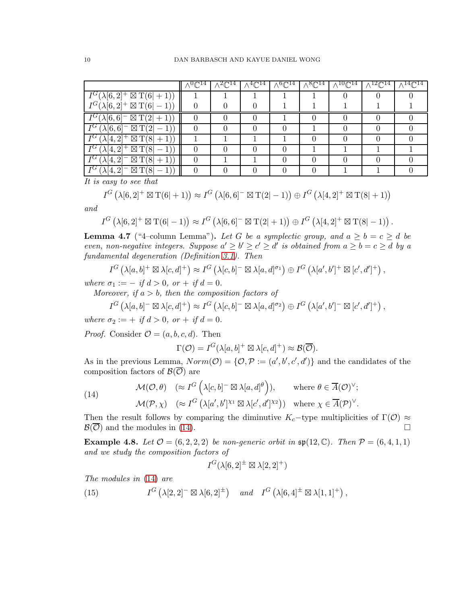|                                                       | $\sqrt{C^{14}}$ | $\sqrt{2}C^{14}$ | $\wedge \sqrt[4]{\mathbb{C}^{14}}$ | $\sqrt{6} \mathbb{C}^{14}$ . | $\wedge^8\mathbb{C}^{14}$ . | $10 \sim 14$ | $^{12} \mathbb{C}^{14}$ | $14 \sim 14$ |
|-------------------------------------------------------|-----------------|------------------|------------------------------------|------------------------------|-----------------------------|--------------|-------------------------|--------------|
| $I^G(\lambda[6,2]^+ \boxtimes T(6 +1))$               |                 |                  |                                    |                              |                             |              |                         |              |
| $I^G(\lambda[6,2]^+ \boxtimes T(6 -1))$               |                 |                  |                                    |                              |                             |              |                         |              |
| $\overline{I^G}(\lambda[6,6]^- \boxtimes T(2 +1))$    |                 |                  |                                    |                              |                             |              |                         |              |
| $\boxtimes$ T(2<br>$I^G$ (<br>$\lambda[6,6]^-$        | $\mathbf{0}$    |                  |                                    |                              |                             |              |                         |              |
| $I^G$ (<br>$(\lambda[4,2]^+ \boxtimes T(8 +1))$       |                 |                  |                                    |                              |                             |              |                         |              |
| $I^G$ (<br>$(\lambda[4,2]^+\boxtimes T(8])$<br>$-1)$  | $\mathbf{0}$    |                  |                                    |                              |                             |              |                         |              |
| $I^G$ (<br>$(\lambda[4,2]^- \boxtimes T(8 +1))$       | 0               |                  |                                    |                              |                             |              |                         |              |
| $I^G$ (<br>$(\lambda[4,2]^- \boxtimes T(8))$<br>$-1)$ | 0               |                  |                                    |                              |                             |              |                         |              |

It is easy to see that

$$
I^G\left(\lambda[6,2]^+\boxtimes \mathrm{T}(6|+1)\right)\approx I^G\left(\lambda[6,6]^-\boxtimes \mathrm{T}(2|-1)\right)\oplus I^G\left(\lambda[4,2]^+\boxtimes \mathrm{T}(8|+1)\right)
$$

and

$$
I^G\left(\lambda[6,2]^+ \boxtimes \mathrm{T}(6|-1)\right) \approx I^G\left(\lambda[6,6]^-\boxtimes \mathrm{T}(2|+1)\right) \oplus I^G\left(\lambda[4,2]^+ \boxtimes \mathrm{T}(8|-1)\right).
$$

<span id="page-9-1"></span>**Lemma 4.7** ("4–column Lemma"). Let G be a symplectic group, and  $a \ge b = c \ge d$  be even, non-negative integers. Suppose  $a' \ge b' \ge c' \ge d'$  is obtained from  $a \ge b = c \ge d$  by a fundamental degeneration (Definition [3.1\)](#page-4-2). Then

$$
I^G\left(\lambda[a,b]^+\boxtimes\lambda[c,d]^+\right)\approx I^G\left(\lambda[c,b]^-\boxtimes\lambda[a,d]^{\sigma_1}\right)\oplus I^G\left(\lambda[a',b']^+\boxtimes[c',d']^+\right),
$$

where  $\sigma_1 := -if d > 0$ , or  $+ if d = 0$ .

Moreover, if  $a > b$ , then the composition factors of

$$
I^G\left(\lambda[a,b]^- \boxtimes \lambda[c,d]^+\right) \approx I^G\left(\lambda[c,b]^- \boxtimes \lambda[a,d]^{\sigma_2}\right) \oplus I^G\left(\lambda[a',b']^- \boxtimes [c',d']^+\right),
$$

where  $\sigma_2 := +$  if  $d > 0$ , or  $+$  if  $d = 0$ .

*Proof.* Consider  $\mathcal{O} = (a, b, c, d)$ . Then

$$
\Gamma(\mathcal{O}) = I^G(\lambda[a, b]^+ \boxtimes \lambda[c, d]^+) \approx \mathcal{B}(\overline{\mathcal{O}}).
$$

As in the previous Lemma,  $Norm(\mathcal{O}) = \{ \mathcal{O}, \mathcal{P} := (a', b', c', d') \}$  and the candidates of the composition factors of  $\mathcal{B}(\overline{\mathcal{O}})$  are

<span id="page-9-0"></span>(14) 
$$
\mathcal{M}(\mathcal{O}, \theta) \quad (\approx I^G \left( \lambda[c, b]^{-} \boxtimes \lambda[a, d]^{\theta} \right)), \quad \text{where } \theta \in \overline{A}(\mathcal{O})^{\vee};
$$

$$
\mathcal{M}(\mathcal{P}, \chi) \quad (\approx I^G \left( \lambda[a', b']^{\chi_1} \boxtimes \lambda[c', d']^{\chi_2}) \right) \quad \text{where } \chi \in \overline{A}(\mathcal{P})^{\vee}.
$$

Then the result follows by comparing the diminutive  $K_c$ -type multiplicities of  $\Gamma(\mathcal{O}) \approx$  $\mathcal{B}(\overline{\mathcal{O}})$  and the modules in [\(14\)](#page-9-0).

Example 4.8. Let  $\mathcal{O} = (6, 2, 2, 2)$  be non-generic orbit in  $\mathfrak{sp}(12, \mathbb{C})$ . Then  $\mathcal{P} = (6, 4, 1, 1)$ and we study the composition factors of

$$
I^G(\lambda[6,2]^\pm \boxtimes \lambda[2,2]^+)
$$

The modules in [\(14\)](#page-9-0) are

 $(15)$  $G\left(\lambda[2,2]^{-} \boxtimes \lambda[6,2]^{\pm}\right)$  and  $I^G\left(\lambda[6,4]^{\pm} \boxtimes \lambda[1,1]^{+}\right)$ ,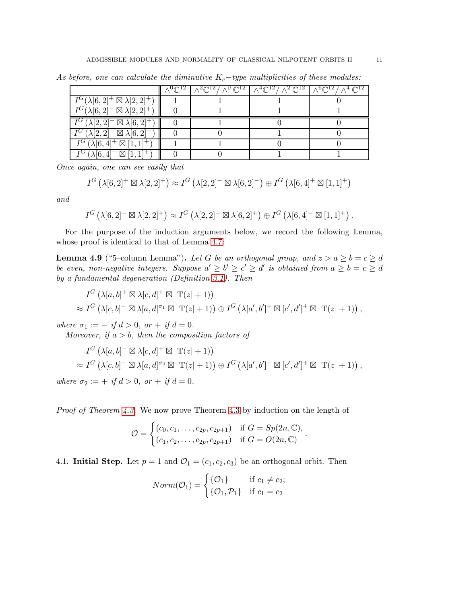|                                                          |  | $\sqrt{2} \mathbb{C}^{12} / \sqrt{0} \mathbb{C}^{12}$ $\sqrt{4} \mathbb{C}^{12} / \sqrt{2} \mathbb{C}^{12}$ | $\wedge^6\mathbb{C}^{12}/\wedge^4\mathbb{C}^{12}$ |
|----------------------------------------------------------|--|-------------------------------------------------------------------------------------------------------------|---------------------------------------------------|
| $I^G(\lambda[6,2]^+ \boxtimes \lambda[2,2]^+)$           |  |                                                                                                             |                                                   |
| $I^G(\lambda[6,2]^- \boxtimes \lambda[2,2]^+)$           |  |                                                                                                             |                                                   |
| $\overline{I^G(\lambda[2,2]}$ $\Box$ $\lambda[6,2]^+$    |  |                                                                                                             |                                                   |
| $\overline{I^G}(\lambda[2,2]^- \boxtimes \lambda[6,2]^-$ |  |                                                                                                             |                                                   |
| $I^G (\lambda[6,4]^+ \boxtimes [1,1]^+)$                 |  |                                                                                                             |                                                   |
| $I^G (\lambda[6,4]^- \boxtimes [1,1]^+)$                 |  |                                                                                                             |                                                   |

As before, one can calculate the diminutive  $K_c$ -type multiplicities of these modules:

Once again, one can see easily that

$$
I^G\left(\lambda[6,2]^+\boxtimes\lambda[2,2]^+\right)\approx I^G\left(\lambda[2,2]^-\boxtimes\lambda[6,2]^-\right)\oplus I^G\left(\lambda[6,4]^+\boxtimes[1,1]^+\right)
$$

and

$$
I^G\left(\lambda[6,2]^-\boxtimes\lambda[2,2]^+\right)\approx I^G\left(\lambda[2,2]^-\boxtimes\lambda[6,2]^+\right)\oplus I^G\left(\lambda[6,4]^-\boxtimes[1,1]^+\right).
$$

For the purpose of the induction arguments below, we record the following Lemma, whose proof is identical to that of Lemma [4.7:](#page-9-1)

<span id="page-10-0"></span>**Lemma 4.9** ("5–column Lemma"). Let G be an orthogonal group, and  $z > a \ge b = c \ge d$ be even, non-negative integers. Suppose  $a' \geq b' \geq c' \geq d'$  is obtained from  $a \geq b = c \geq d$ by a fundamental degeneration (Definition [3.1\)](#page-4-2). Then

$$
I^G\left(\lambda[a,b]^+ \boxtimes \lambda[c,d]^+ \boxtimes \mathrm{T}(z|+1)\right)
$$
  
\approx 
$$
I^G\left(\lambda[c,b]^-\boxtimes \lambda[a,d]^{\sigma_1} \boxtimes \mathrm{T}(z|+1)\right) \oplus I^G\left(\lambda[a',b']^+ \boxtimes [c',d']^+ \boxtimes \mathrm{T}(z|+1)\right),
$$

where  $\sigma_1 := -if d > 0$ , or  $+ if d = 0$ .

Moreover, if  $a > b$ , then the composition factors of

$$
I^G\left(\lambda[a,b]^{-} \boxtimes \lambda[c,d]^{+} \boxtimes T(z|+1)\right)
$$
  
\approx 
$$
I^G\left(\lambda[c,b]^{-} \boxtimes \lambda[a,d]^{\sigma_2} \boxtimes T(z|+1)\right) \oplus I^G\left(\lambda[a',b']^{-} \boxtimes [c',d']^{+} \boxtimes T(z|+1)\right),
$$

where  $\sigma_2 := +$  if  $d > 0$ , or  $+$  if  $d = 0$ .

Proof of Theorem [4.3.](#page-8-0) We now prove Theorem [4.3](#page-8-0) by induction on the length of

$$
\mathcal{O} = \begin{cases} (c_0, c_1, \dots, c_{2p}, c_{2p+1}) & \text{if } G = Sp(2n, \mathbb{C}), \\ (c_1, c_2, \dots, c_{2p}, c_{2p+1}) & \text{if } G = O(2n, \mathbb{C}) \end{cases}.
$$

# 4.1. **Initial Step.** Let  $p = 1$  and  $\mathcal{O}_1 = (c_1, c_2, c_3)$  be an orthogonal orbit. Then

$$
Norm(\mathcal{O}_1) = \begin{cases} \{\mathcal{O}_1\} & \text{if } c_1 \neq c_2; \\ \{\mathcal{O}_1, \mathcal{P}_1\} & \text{if } c_1 = c_2 \end{cases}
$$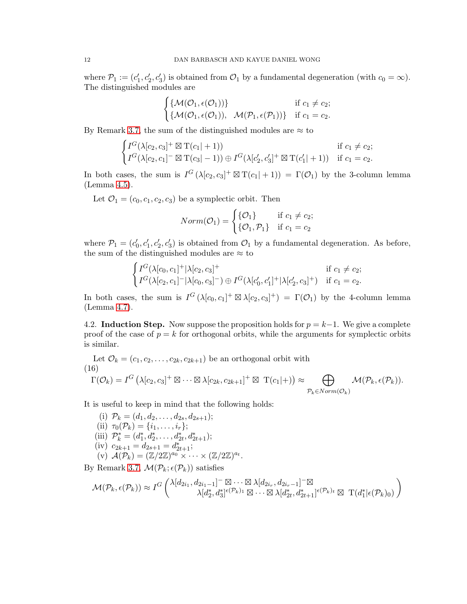where  $\mathcal{P}_1 := (c'_1, c'_2, c'_3)$  is obtained from  $\mathcal{O}_1$  by a fundamental degeneration (with  $c_0 = \infty$ ). The distinguished modules are

$$
\begin{cases} {\mathcal{M}(\mathcal{O}_1, \epsilon(\mathcal{O}_1))} & \text{if } c_1 \neq c_2; \\ {\mathcal{M}(\mathcal{O}_1, \epsilon(\mathcal{O}_1)), \mathcal{M}(\mathcal{P}_1, \epsilon(\mathcal{P}_1))} & \text{if } c_1 = c_2. \end{cases}
$$

By Remark [3.7,](#page-6-0) the sum of the distinguished modules are  $\approx$  to

$$
\begin{cases}\nI^G(\lambda[c_2, c_3]^+ \boxtimes T(c_1|+1)) & \text{if } c_1 \neq c_2; \\
I^G(\lambda[c_2, c_1]^- \boxtimes T(c_3|-1)) \oplus I^G(\lambda[c'_2, c'_3]^+ \boxtimes T(c'_1|+1)) & \text{if } c_1 = c_2.\n\end{cases}
$$

In both cases, the sum is  $I^G(\lambda[c_2, c_3]^+ \boxtimes T(c_1|+1)) = \Gamma(\mathcal{O}_1)$  by the 3-column lemma (Lemma [4.5\)](#page-8-2).

Let  $\mathcal{O}_1 = (c_0, c_1, c_2, c_3)$  be a symplectic orbit. Then

$$
Norm(\mathcal{O}_1) = \begin{cases} \{\mathcal{O}_1\} & \text{if } c_1 \neq c_2; \\ \{\mathcal{O}_1, \mathcal{P}_1\} & \text{if } c_1 = c_2 \end{cases}
$$

where  $\mathcal{P}_1 = (c'_0, c'_1, c'_2, c'_3)$  is obtained from  $\mathcal{O}_1$  by a fundamental degeneration. As before, the sum of the distinguished modules are  $\approx$  to

$$
\begin{cases}\nI^G(\lambda[c_0, c_1]^+|\lambda[c_2, c_3]^+ & \text{if } c_1 \neq c_2; \\
I^G(\lambda[c_2, c_1]^-|\lambda[c_0, c_3]^-) \oplus I^G(\lambda[c'_0, c'_1]^+|\lambda[c'_2, c_3]^+) & \text{if } c_1 = c_2.\n\end{cases}
$$

In both cases, the sum is  $I^G(\lambda[c_0,c_1]^+ \boxtimes \lambda[c_2,c_3]^+) = \Gamma(\mathcal{O}_1)$  by the 4-column lemma (Lemma [4.7\)](#page-9-1).

4.2. Induction Step. Now suppose the proposition holds for  $p = k-1$ . We give a complete proof of the case of  $p = k$  for orthogonal orbits, while the arguments for symplectic orbits is similar.

<span id="page-11-0"></span>Let  $\mathcal{O}_k = (c_1, c_2, \ldots, c_{2k}, c_{2k+1})$  be an orthogonal orbit with (16)  $\Gamma(\mathcal{O}_k)=I^G\left(\lambda[c_2,c_3]^+\boxtimes\cdots\boxtimes\lambda[c_{2k},c_{2k+1}]^+\boxtimes \; \mathrm{T}(c_1|+)\right) \approx \qquad \bigoplus$  $\mathcal{P}_k \in Norm(\mathcal{O}_k)$  $\mathcal{M}(\mathcal{P}_k,\epsilon(\mathcal{P}_k)).$ 

It is useful to keep in mind that the following holds:

(i)  $\mathcal{P}_k = (d_1, d_2, \ldots, d_{2s}, d_{2s+1});$ (ii)  $\tau_0(\mathcal{P}_k) = \{i_1, \ldots, i_r\};$ (iii)  $\mathcal{P}_k^* = (d_1^*, d_2^*, \dots, d_{2t}^*, d_{2t+1}^*)$ ; (iv)  $c_{2k+1} = d_{2s+1} = d_{2t+1}^*;$  $(v)$   $\mathcal{A}(\mathcal{P}_k) = (\mathbb{Z}/2\mathbb{Z})^{a_0} \times \cdots \times (\mathbb{Z}/2\mathbb{Z})^{a_t}.$ 

By Remark [3.7,](#page-6-0)  $\mathcal{M}(\mathcal{P}_k; \epsilon(\mathcal{P}_k))$  satisfies

$$
\mathcal{M}(\mathcal{P}_k, \epsilon(\mathcal{P}_k)) \approx I^G \begin{pmatrix} \lambda [d_{2i_1}, d_{2i_1-1}]^- \boxtimes \cdots \boxtimes \lambda [d_{2i_r}, d_{2i_r-1}]^- \boxtimes \\ \lambda [d_2^*, d_3^*]^{ \epsilon(\mathcal{P}_k)_1} \boxtimes \cdots \boxtimes \lambda [d_2^*, d_{2t+1}^*]^{ \epsilon(\mathcal{P}_k)_t} \boxtimes \; \mathrm{T}(d_1^* | \epsilon(\mathcal{P}_k)_0) \end{pmatrix}
$$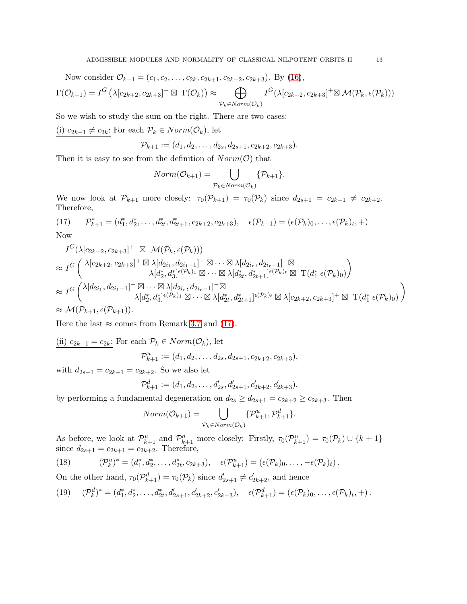Now consider  $\mathcal{O}_{k+1} = (c_1, c_2, \ldots, c_{2k}, c_{2k+1}, c_{2k+2}, c_{2k+3})$ . By [\(16\)](#page-11-0),  $\Gamma(\mathcal{O}_{k+1}) = I^G \left( \lambda[c_{2k+2}, c_{2k+3}]^+ \boxtimes \Gamma(\mathcal{O}_k) \right) \approx$  $\oplus$  $\mathcal{P}_k \in Norm(\mathcal{O}_k)$  $I^G(\lambda[c_{2k+2},c_{2k+3}]^{+}\boxtimes \mathcal{M}(\mathcal{P}_k,\epsilon(\mathcal{P}_k)))$ 

So we wish to study the sum on the right. There are two cases:

(i)  $c_{2k-1} \neq c_{2k}$ : For each  $\mathcal{P}_k$  ∈  $Norm(\mathcal{O}_k)$ , let

$$
\mathcal{P}_{k+1} := (d_1, d_2, \ldots, d_{2s}, d_{2s+1}, c_{2k+2}, c_{2k+3}).
$$

Then it is easy to see from the definition of  $Norm(\mathcal{O})$  that

$$
Norm(\mathcal{O}_{k+1}) = \bigcup_{\mathcal{P}_k \in Norm(\mathcal{O}_k)} \{\mathcal{P}_{k+1}\}.
$$

We now look at  $\mathcal{P}_{k+1}$  more closely:  $\tau_0(\mathcal{P}_{k+1}) = \tau_0(\mathcal{P}_k)$  since  $d_{2s+1} = c_{2k+1} \neq c_{2k+2}$ . Therefore,

<span id="page-12-0"></span>(17) 
$$
\mathcal{P}_{k+1}^* = (d_1^*, d_2^*, \dots, d_{2t}^*, d_{2t+1}^*, c_{2k+2}, c_{2k+3}), \quad \epsilon(\mathcal{P}_{k+1}) = (\epsilon(\mathcal{P}_k)_0, \dots, \epsilon(\mathcal{P}_k)_t, +)
$$

Now

$$
I^G(\lambda[c_{2k+2}, c_{2k+3}]^+ \boxtimes \mathcal{M}(\mathcal{P}_k, \epsilon(\mathcal{P}_k)))
$$
  
\n
$$
\approx I^G\left(\lambda[c_{2k+2}, c_{2k+3}]^+ \boxtimes \lambda[d_{2i_1}, d_{2i_1-1}]^- \boxtimes \cdots \boxtimes \lambda[d_{2i_r}, d_{2i_r-1}]^- \boxtimes
$$
  
\n
$$
\lambda[d_2^*, d_3^*]^{\epsilon(\mathcal{P}_k)_1} \boxtimes \cdots \boxtimes \lambda[d_{2t}^*, d_{2t+1}^*]^{\epsilon(\mathcal{P}_k)_t} \boxtimes T(d_1^*|\epsilon(\mathcal{P}_k)_0)\right)
$$
  
\n
$$
\approx I^G\left(\lambda[d_{2i_1}, d_{2i_1-1}]^- \boxtimes \cdots \boxtimes \lambda[d_{2i_r}, d_{2i_r-1}]^- \boxtimes
$$
  
\n
$$
\lambda[d_2^*, d_3^*]^{\epsilon(\mathcal{P}_k)_1} \boxtimes \cdots \boxtimes \lambda[d_{2t}^*, d_{2t+1}^*]^{\epsilon(\mathcal{P}_k)_t} \boxtimes \lambda[c_{2k+2}, c_{2k+3}]^+ \boxtimes T(d_1^*|\epsilon(\mathcal{P}_k)_0)\right)
$$
  
\n
$$
\approx \mathcal{M}(\mathcal{P}_{k+1}, \epsilon(\mathcal{P}_{k+1})).
$$

Here the last  $\approx$  comes from Remark [3.7](#page-6-0) and [\(17\)](#page-12-0).

(ii) 
$$
c_{2k-1} = c_{2k}
$$
: For each  $\mathcal{P}_k \in Norm(\mathcal{O}_k)$ , let  

$$
\mathcal{P}_{k+1}^u := (d_1, d_2, \dots, d_{2s}, d_{2s+1}, c_{2k+2}, c_{2k+3}),
$$

with  $d_{2s+1} = c_{2k+1} = c_{2k+2}$ . So we also let

$$
\mathcal{P}_{k+1}^d := (d_1, d_2, \dots, d'_{2s}, d'_{2s+1}, c'_{2k+2}, c'_{2k+3}).
$$

by performing a fundamental degeneration on  $d_{2s} \geq d_{2s+1} = c_{2k+2} \geq c_{2k+3}$ . Then

$$
Norm(\mathcal{O}_{k+1}) = \bigcup_{\mathcal{P}_k \in Norm(\mathcal{O}_k)} \{\mathcal{P}_{k+1}^u, \mathcal{P}_{k+1}^d\}.
$$

As before, we look at  $\mathcal{P}_{k+1}^u$  and  $\mathcal{P}_{k+1}^d$  more closely: Firstly,  $\tau_0(\mathcal{P}_{k+1}^u) = \tau_0(\mathcal{P}_k) \cup \{k+1\}$ since  $d_{2s+1} = c_{2k+1} = c_{2k+2}$ . Therefore,

<span id="page-12-1"></span>(18) 
$$
(\mathcal{P}_k^u)^* = (d_1^*, d_2^*, \dots, d_{2t}^*, c_{2k+3}), \quad \epsilon(\mathcal{P}_{k+1}^u) = (\epsilon(\mathcal{P}_k)_0, \dots, -\epsilon(\mathcal{P}_k)_t).
$$

On the other hand,  $\tau_0(\mathcal{P}_{k+1}^d) = \tau_0(\mathcal{P}_k)$  since  $d'_{2s+1} \neq c'_{2k+2}$ , and hence

<span id="page-12-2"></span>
$$
(19) \quad (\mathcal{P}_k^d)^* = (d_1^*, d_2^*, \dots, d_{2t}^*, d_{2s+1}', c_{2k+2}', c_{2k+3}'), \quad \epsilon(\mathcal{P}_{k+1}^d) = (\epsilon(\mathcal{P}_k)_0, \dots, \epsilon(\mathcal{P}_k)_t, +).
$$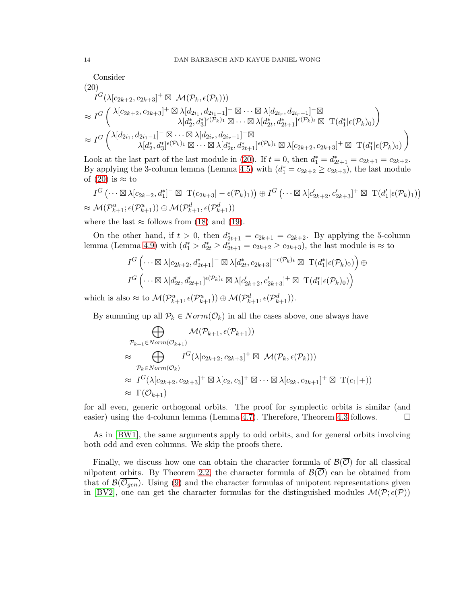Consider  
\n(20)  
\n
$$
I^G(\lambda[c_{2k+2}, c_{2k+3}]^+ \boxtimes \mathcal{M}(\mathcal{P}_k, \epsilon(\mathcal{P}_k)))
$$
\n
$$
\approx I^G\left(\begin{array}{c} \lambda[c_{2k+2}, c_{2k+3}]^+ \boxtimes \lambda[d_{2i_1}, d_{2i_1-1}]^- \boxtimes \cdots \boxtimes \lambda[d_{2i_r}, d_{2i_r-1}]^- \boxtimes \\ \lambda[d_2^*, d_3^*]^{e(\mathcal{P}_k)_1} \boxtimes \cdots \boxtimes \lambda[d_{2t}^*, d_{2t+1}^*]^{e(\mathcal{P}_k)_t} \boxtimes T(d_1^*|\epsilon(\mathcal{P}_k)_0) \end{array}\right)
$$
\n
$$
\approx I^G\left(\begin{array}{c} \lambda[d_{2i_1}, d_{2i_1-1}]^- \boxtimes \cdots \boxtimes \lambda[d_{2i_r}, d_{2i_r-1}]^- \boxtimes \\ \lambda[d_2^*, d_3^*]^{e(\mathcal{P}_k)_1} \boxtimes \cdots \boxtimes \lambda[d_{2t}^*, d_{2t+1}^*]^{e(\mathcal{P}_k)_t} \boxtimes \lambda[c_{2k+2}, c_{2k+3}]^+ \boxtimes T(d_1^*|\epsilon(\mathcal{P}_k)_0) \end{array}\right)
$$

<span id="page-13-0"></span>Look at the last part of the last module in [\(20\)](#page-13-0). If  $t = 0$ , then  $d_1^* = d_{2t+1}^* = c_{2k+1} = c_{2k+2}$ . By applying the 3-column lemma (Lemma [4.5\)](#page-8-2) with  $(d_1^* = c_{2k+2} \ge c_{2k+3})$ , the last module of  $(20)$  is  $\approx$  to

$$
I^G\left(\cdots \boxtimes \lambda[c_{2k+2}, d_1^*]^- \boxtimes \mathrm{T}(c_{2k+3}|-\epsilon(\mathcal{P}_k)_1)\right) \oplus I^G\left(\cdots \boxtimes \lambda[c'_{2k+2}, c'_{2k+3}]^+ \boxtimes \mathrm{T}(d'_1|\epsilon(\mathcal{P}_k)_1)\right) \approx \mathcal{M}(\mathcal{P}_{k+1}^u; \epsilon(\mathcal{P}_{k+1}^u)) \oplus \mathcal{M}(\mathcal{P}_{k+1}^d, \epsilon(\mathcal{P}_{k+1}^d))
$$

where the last  $\approx$  follows from [\(18\)](#page-12-1) and [\(19\)](#page-12-2).

On the other hand, if  $t > 0$ , then  $d_{2t+1}^* = c_{2k+1} = c_{2k+2}$ . By applying the 5-column lemma (Lemma [4.9\)](#page-10-0) with  $(d_1^* > d_{2t}^* \geq d_{2t+1}^* = c_{2k+2} \geq c_{2k+3})$ , the last module is  $\approx$  to

$$
I^G\left(\cdots \boxtimes \lambda[c_{2k+2}, d^*_{2t+1}]^- \boxtimes \lambda[d^*_{2t}, c_{2k+3}]^{-\epsilon(\mathcal{P}_k)_t} \boxtimes \ \mathrm{T}(d^*_1|\epsilon(\mathcal{P}_k)_0)\right) \oplus
$$
  

$$
I^G\left(\cdots \boxtimes \lambda[d'_{2t}, d'_{2t+1}]^{\epsilon(\mathcal{P}_k)_t} \boxtimes \lambda[c'_{2k+2}, c'_{2k+3}]^+ \boxtimes \ \mathrm{T}(d^*_1|\epsilon(\mathcal{P}_k)_0)\right)
$$

which is also  $\approx$  to  $\mathcal{M}(\mathcal{P}_{k+1}^u, \epsilon(\mathcal{P}_{k+1}^u)) \oplus \mathcal{M}(\mathcal{P}_{k+1}^d, \epsilon(\mathcal{P}_{k+1}^d)).$ 

By summing up all  $P_k \in Norm(\mathcal{O}_k)$  in all the cases above, one always have

$$
\bigoplus_{\substack{\mathcal{P}_{k+1} \in Norm(\mathcal{O}_{k+1})}} \mathcal{M}(\mathcal{P}_{k+1}, \epsilon(\mathcal{P}_{k+1}))
$$
\n
$$
\approx \bigoplus_{\substack{\mathcal{P}_k \in Norm(\mathcal{O}_k)}} I^G(\lambda[c_{2k+2}, c_{2k+3}]^+ \boxtimes \mathcal{M}(\mathcal{P}_k, \epsilon(\mathcal{P}_k)))
$$
\n
$$
\approx I^G(\lambda[c_{2k+2}, c_{2k+3}]^+ \boxtimes \lambda[c_2, c_3]^+ \boxtimes \cdots \boxtimes \lambda[c_{2k}, c_{2k+1}]^+ \boxtimes T(c_1|+))
$$
\n
$$
\approx \Gamma(\mathcal{O}_{k+1})
$$

for all even, generic orthogonal orbits. The proof for symplectic orbits is similar (and easier) using the 4-column lemma (Lemma [4.7\)](#page-9-1). Therefore, Theorem [4.3](#page-8-0) follows.  $\square$ 

As in [\[BW1\]](#page-15-0), the same arguments apply to odd orbits, and for general orbits involving both odd and even columns. We skip the proofs there.

Finally, we discuss how one can obtain the character formula of  $\mathcal{B}(\overline{\mathcal{O}})$  for all classical nilpotent orbits. By Theorem [2.2,](#page-3-0) the character formula of  $\mathcal{B}(\overline{\mathcal{O}})$  can be obtained from that of  $\mathcal{B}(\overline{O_{gen}})$ . Using [\(9\)](#page-5-1) and the character formulas of unipotent representations given in [\[BV2\]](#page-15-3), one can get the character formulas for the distinguished modules  $\mathcal{M}(\mathcal{P}; \epsilon(\mathcal{P}))$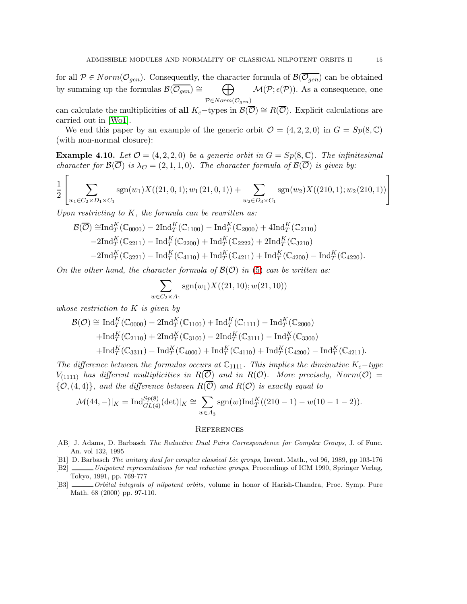for all  $P \in Norm(\mathcal{O}_{gen})$ . Consequently, the character formula of  $\mathcal{B}(\overline{\mathcal{O}_{gen}})$  can be obtained by summing up the formulas  $\mathcal{B}(\overline{\mathcal{O}_{gen}}) \cong$ M  $P \in Norm(\mathcal{O}_{gen})$  $\mathcal{M}(\mathcal{P}; \epsilon(\mathcal{P}))$ . As a consequence, one

can calculate the multiplicities of all  $K_c$ -types in  $\mathcal{B}(\overline{\mathcal{O}}) \cong R(\overline{\mathcal{O}})$ . Explicit calculations are carried out in [\[Wo1\]](#page-16-1).

We end this paper by an example of the generic orbit  $\mathcal{O} = (4, 2, 2, 0)$  in  $G = Sp(8, \mathbb{C})$ (with non-normal closure):

**Example 4.10.** Let  $\mathcal{O} = (4, 2, 2, 0)$  be a generic orbit in  $G = Sp(8, \mathbb{C})$ . The infinitesimal character for  $\mathcal{B}(\overline{\mathcal{O}})$  is  $\lambda_{\mathcal{O}} = (2, 1, 1, 0)$ . The character formula of  $\mathcal{B}(\overline{\mathcal{O}})$  is given by:

$$
\frac{1}{2} \left[ \sum_{w_1 \in C_2 \times D_1 \times C_1} \text{sgn}(w_1) X((21,0,1); w_1(21,0,1)) + \sum_{w_2 \in D_3 \times C_1} \text{sgn}(w_2) X((210,1); w_2(210,1)) \right]
$$

Upon restricting to  $K$ , the formula can be rewritten as:

$$
\mathcal{B}(\overline{\mathcal{O}}) \cong \text{Ind}_{T}^{K}(\mathbb{C}_{0000}) - 2\text{Ind}_{T}^{K}(\mathbb{C}_{1100}) - \text{Ind}_{T}^{K}(\mathbb{C}_{2000}) + 4\text{Ind}_{T}^{K}(\mathbb{C}_{2110})
$$
  
-2 $\text{Ind}_{T}^{K}(\mathbb{C}_{2211}) - \text{Ind}_{T}^{K}(\mathbb{C}_{2200}) + \text{Ind}_{T}^{K}(\mathbb{C}_{2222}) + 2\text{Ind}_{T}^{K}(\mathbb{C}_{3210})$   
-2 $\text{Ind}_{T}^{K}(\mathbb{C}_{3221}) - \text{Ind}_{T}^{K}(\mathbb{C}_{4110}) + \text{Ind}_{T}^{K}(\mathbb{C}_{4211}) + \text{Ind}_{T}^{K}(\mathbb{C}_{4200}) - \text{Ind}_{T}^{K}(\mathbb{C}_{4220}).$ 

On the other hand, the character formula of  $\mathcal{B}(\mathcal{O})$  in [\(5\)](#page-2-0) can be written as:

$$
\sum_{w \in C_2 \times A_1} \text{sgn}(w_1) X((21, 10); w(21, 10))
$$

whose restriction to K is given by

$$
\mathcal{B}(\mathcal{O}) \cong \text{Ind}_{T}^{K}(\mathbb{C}_{0000}) - 2\text{Ind}_{T}^{K}(\mathbb{C}_{1100}) + \text{Ind}_{T}^{K}(\mathbb{C}_{1111}) - \text{Ind}_{T}^{K}(\mathbb{C}_{2000}) \n+ \text{Ind}_{T}^{K}(\mathbb{C}_{2110}) + 2\text{Ind}_{T}^{K}(\mathbb{C}_{3100}) - 2\text{Ind}_{T}^{K}(\mathbb{C}_{3111}) - \text{Ind}_{T}^{K}(\mathbb{C}_{3300}) \n+ \text{Ind}_{T}^{K}(\mathbb{C}_{3311}) - \text{Ind}_{T}^{K}(\mathbb{C}_{4000}) + \text{Ind}_{T}^{K}(\mathbb{C}_{4110}) + \text{Ind}_{T}^{K}(\mathbb{C}_{4200}) - \text{Ind}_{T}^{K}(\mathbb{C}_{4211}).
$$

The difference between the formulas occurs at  $\mathbb{C}_{1111}$ . This implies the diminutive K<sub>c</sub>−type  $V_{(1111)}$  has different multiplicities in  $R(\overline{\mathcal{O}})$  and in  $R(\mathcal{O})$ . More precisely, Norm $(\mathcal{O})$  =  $\{\mathcal{O}, (4, 4)\}\$ , and the difference between  $R(\overline{\mathcal{O}})$  and  $R(\mathcal{O})$  is exactly equal to

$$
\mathcal{M}(44,-)|_K = \mathrm{Ind}_{GL(4)}^{Sp(8)}(\det)|_K \cong \sum_{w \in A_3} \mathrm{sgn}(w) \mathrm{Ind}_T^K((210-1) - w(10-1-2)).
$$

#### **REFERENCES**

- <span id="page-14-0"></span>[AB] J. Adams, D. Barbasch The Reductive Dual Pairs Correspondence for Complex Groups, J. of Func. An. vol 132, 1995
- [B1] D. Barbasch The unitary dual for complex classical Lie groups, Invent. Math., vol 96, 1989, pp 103-176
- [B2] Unipotent representations for real reductive groups, Proceedings of ICM 1990, Springer Verlag, Tokyo, 1991, pp. 769-777
- [B3]  $Orbital$  integrals of nilpotent orbits, volume in honor of Harish-Chandra, Proc. Symp. Pure Math. 68 (2000) pp. 97-110.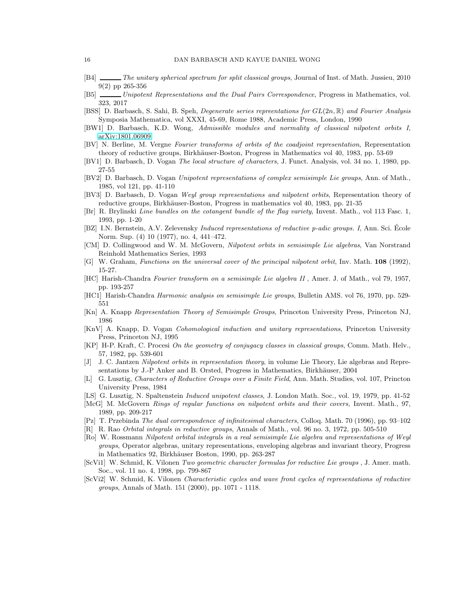- [B4] The unitary spherical spectrum for split classical groups, Journal of Inst. of Math. Jussieu, 2010 9(2) pp 265-356
- [B5] Unipotent Representations and the Dual Pairs Correspondence, Progress in Mathematics, vol. 323, 2017
- [BSS] D. Barbasch, S. Sahi, B. Speh, *Degenerate series repreentations for*  $GL(2n, \mathbb{R})$  *and Fourier Analysis* Symposia Mathematica, vol XXXI, 45-69, Rome 1988, Academic Press, London, 1990
- <span id="page-15-0"></span>[BW1] D. Barbasch, K.D. Wong, Admissible modules and normality of classical nilpotent orbits I, [arXiv:1801.06909](http://arxiv.org/abs/1801.06909)
- [BV] N. Berline, M. Vergne Fourier transforms of orbits of the coadjoint representation, Representation theory of reductive groups, Birkhäuser-Boston, Progress in Mathematics vol 40, 1983, pp. 53-69
- [BV1] D. Barbasch, D. Vogan The local structure of characters, J. Funct. Analysis, vol. 34 no. 1, 1980, pp. 27-55
- <span id="page-15-3"></span>[BV2] D. Barbasch, D. Vogan Unipotent representations of complex semisimple Lie groups, Ann. of Math., 1985, vol 121, pp. 41-110
- [BV3] D. Barbasch, D. Vogan Weyl group representations and nilpotent orbits, Representation theory of reductive groups, Birkhäuser-Boston, Progress in mathematics vol 40, 1983, pp. 21-35
- <span id="page-15-1"></span>[Br] R. Brylinski Line bundles on the cotangent bundle of the flag variety, Invent. Math., vol 113 Fasc. 1, 1993, pp. 1-20
- [BZ] I.N. Bernstein, A.V. Zelevensky Induced representations of reductive p-adic groups. I, Ann. Sci. Ecole Norm. Sup. (4) 10 (1977), no. 4, 441–472.
- [CM] D. Collingwood and W. M. McGovern, Nilpotent orbits in semisimple Lie algebras, Van Norstrand Reinhold Mathematics Series, 1993
- [G] W. Graham, Functions on the universal cover of the principal nilpotent orbit, Inv. Math. **108** (1992), 15-27.
- [HC] Harish-Chandra Fourier transform on a semisimple Lie algebra II , Amer. J. of Math., vol 79, 1957, pp. 193-257
- [HC1] Harish-Chandra Harmonic analysis on semisimple Lie groups, Bulletin AMS. vol 76, 1970, pp. 529- 551
- [Kn] A. Knapp Representation Theory of Semisimple Groups, Princeton University Press, Princeton NJ, 1986
- [KnV] A. Knapp, D. Vogan Cohomological induction and unitary representations, Princeton University Press, Princeton NJ, 1995
- <span id="page-15-2"></span>[KP] H-P. Kraft, C. Procesi On the geometry of conjugacy classes in classical groups, Comm. Math. Helv., 57, 1982, pp. 539-601
- [J] J. C. Jantzen Nilpotent orbits in representation theory, in volume Lie Theory, Lie algebras and Representations by J.-P Anker and B. Orsted, Progress in Mathematics, Birkhäuser, 2004
- [L] G. Lusztig, Characters of Reductive Groups over a Finite Field, Ann. Math. Studies, vol. 107, Princton University Press, 1984
- [LS] G. Lusztig, N. Spaltenstein Induced unipotent classes, J. London Math. Soc., vol. 19, 1979, pp. 41-52
- [McG] M. McGovern Rings of regular functions on nilpotent orbits and their covers, Invent. Math., 97, 1989, pp. 209-217
- [Pz] T. Przebinda The dual correspondence of infinitesimal characters, Colloq. Math. 70 (1996), pp. 93–102
- [R] R. Rao Orbital integrals in reductive groups, Annals of Math., vol. 96 no. 3, 1972, pp. 505-510
- [Ro] W. Rossmann Nilpotent orbital integrals in a real semisimple Lie algebra and representations of Weyl groups, Operator algebras, unitary representations, enveloping algebras and invariant theory, Progress in Mathematics 92, Birkhäuser Boston, 1990, pp. 263-287
- [ScVi1] W. Schmid, K. Vilonen Two geometric character formulas for reductive Lie groups , J. Amer. math. Soc., vol. 11 no. 4, 1998, pp. 799-867
- [ScVi2] W. Schmid, K. Vilonen Characteristic cycles and wave front cycles of representations of reductive groups, Annals of Math. 151 (2000), pp. 1071 - 1118.